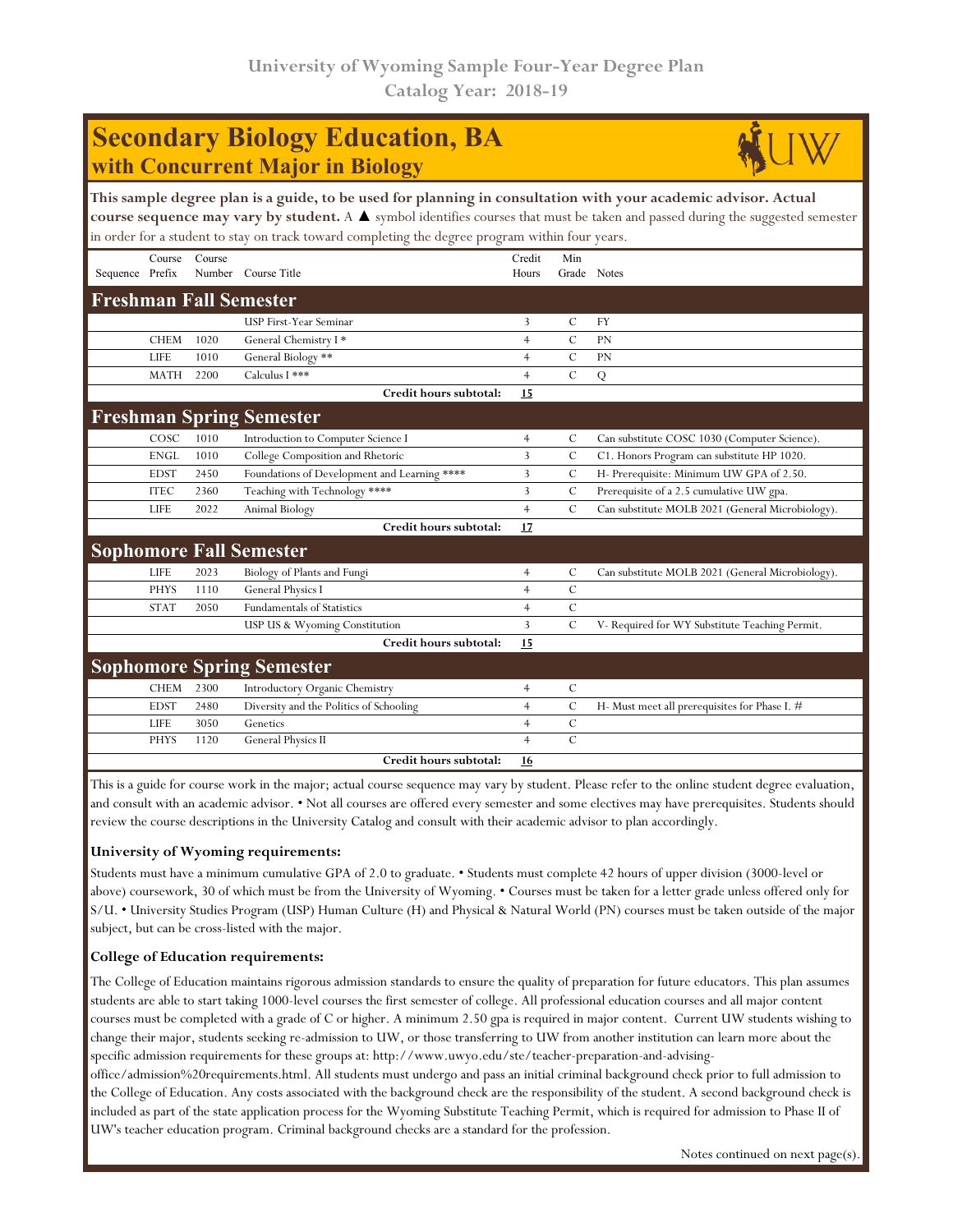## **Secondary Biology Education, BA with Concurrent Major in Biology**



|                 |             |        | This sample degree plan is a guide, to be used for planning in consultation with your academic advisor. Actual<br>course sequence may vary by student. A $\blacktriangle$ symbol identifies courses that must be taken and passed during the suggested semester<br>in order for a student to stay on track toward completing the degree program within four years. |                 |               |                                                  |
|-----------------|-------------|--------|--------------------------------------------------------------------------------------------------------------------------------------------------------------------------------------------------------------------------------------------------------------------------------------------------------------------------------------------------------------------|-----------------|---------------|--------------------------------------------------|
| Sequence Prefix | Course      | Course | Number Course Title                                                                                                                                                                                                                                                                                                                                                | Credit<br>Hours | Min           | Grade Notes                                      |
|                 |             |        | <b>Freshman Fall Semester</b>                                                                                                                                                                                                                                                                                                                                      |                 |               |                                                  |
|                 |             |        | USP First-Year Seminar                                                                                                                                                                                                                                                                                                                                             | 3               | C             | <b>FY</b>                                        |
|                 | <b>CHEM</b> | 1020   | General Chemistry I*                                                                                                                                                                                                                                                                                                                                               | 4               | $\mathcal{C}$ | <b>PN</b>                                        |
|                 | <b>LIFE</b> | 1010   | General Biology **                                                                                                                                                                                                                                                                                                                                                 | $\overline{4}$  | $\mathcal{C}$ | PN                                               |
|                 | <b>MATH</b> | 2200   | Calculus I ***                                                                                                                                                                                                                                                                                                                                                     | $\overline{4}$  | $\mathcal{C}$ | Q                                                |
|                 |             |        | Credit hours subtotal:                                                                                                                                                                                                                                                                                                                                             | 15              |               |                                                  |
|                 |             |        | <b>Freshman Spring Semester</b>                                                                                                                                                                                                                                                                                                                                    |                 |               |                                                  |
|                 | COSC        | 1010   | Introduction to Computer Science I                                                                                                                                                                                                                                                                                                                                 | $\overline{4}$  | C             | Can substitute COSC 1030 (Computer Science).     |
|                 | <b>ENGL</b> | 1010   | College Composition and Rhetoric                                                                                                                                                                                                                                                                                                                                   | 3               | $\mathcal{C}$ | C1. Honors Program can substitute HP 1020.       |
|                 | <b>EDST</b> | 2450   | Foundations of Development and Learning ****                                                                                                                                                                                                                                                                                                                       | 3               | С             | H- Prerequisite: Minimum UW GPA of 2.50.         |
|                 | <b>ITEC</b> | 2360   | Teaching with Technology ****                                                                                                                                                                                                                                                                                                                                      | 3               | $\mathcal{C}$ | Prerequisite of a 2.5 cumulative UW gpa.         |
|                 | <b>LIFE</b> | 2022   | Animal Biology                                                                                                                                                                                                                                                                                                                                                     | $\overline{4}$  | $\mathcal{C}$ | Can substitute MOLB 2021 (General Microbiology). |
|                 |             |        | Credit hours subtotal:                                                                                                                                                                                                                                                                                                                                             | 17              |               |                                                  |
|                 |             |        | <b>Sophomore Fall Semester</b>                                                                                                                                                                                                                                                                                                                                     |                 |               |                                                  |
|                 | <b>LIFE</b> | 2023   | Biology of Plants and Fungi                                                                                                                                                                                                                                                                                                                                        | 4               | C             | Can substitute MOLB 2021 (General Microbiology). |
|                 | <b>PHYS</b> | 1110   | General Physics I                                                                                                                                                                                                                                                                                                                                                  | $\overline{4}$  | $\mathcal{C}$ |                                                  |
|                 | <b>STAT</b> | 2050   | <b>Fundamentals of Statistics</b>                                                                                                                                                                                                                                                                                                                                  | $\overline{4}$  | $\mathbf C$   |                                                  |
|                 |             |        | USP US & Wyoming Constitution                                                                                                                                                                                                                                                                                                                                      | 3               | $\mathcal{C}$ | V- Required for WY Substitute Teaching Permit.   |
|                 |             |        | Credit hours subtotal:                                                                                                                                                                                                                                                                                                                                             | 15              |               |                                                  |
|                 |             |        | <b>Sophomore Spring Semester</b>                                                                                                                                                                                                                                                                                                                                   |                 |               |                                                  |
|                 | <b>CHEM</b> | 2300   | Introductory Organic Chemistry                                                                                                                                                                                                                                                                                                                                     | $\overline{4}$  | $\mathcal{C}$ |                                                  |
|                 | <b>EDST</b> | 2480   | Diversity and the Politics of Schooling                                                                                                                                                                                                                                                                                                                            | $\overline{4}$  | $\mathcal{C}$ | H- Must meet all prerequisites for Phase I. #    |
|                 | <b>LIFE</b> | 3050   | Genetics                                                                                                                                                                                                                                                                                                                                                           | $\overline{4}$  | $\mathcal{C}$ |                                                  |
|                 | <b>PHYS</b> | 1120   | General Physics II                                                                                                                                                                                                                                                                                                                                                 | $\overline{4}$  | $\mathbf C$   |                                                  |
|                 |             |        | Credit hours subtotal:                                                                                                                                                                                                                                                                                                                                             | 16              |               |                                                  |

This is a guide for course work in the major; actual course sequence may vary by student. Please refer to the online student degree evaluation, and consult with an academic advisor. • Not all courses are offered every semester and some electives may have prerequisites. Students should review the course descriptions in the University Catalog and consult with their academic advisor to plan accordingly.

## **University of Wyoming requirements:**

Students must have a minimum cumulative GPA of 2.0 to graduate. • Students must complete 42 hours of upper division (3000-level or above) coursework, 30 of which must be from the University of Wyoming. • Courses must be taken for a letter grade unless offered only for S/U. • University Studies Program (USP) Human Culture (H) and Physical & Natural World (PN) courses must be taken outside of the major subject, but can be cross-listed with the major.

## **College of Education requirements:**

The College of Education maintains rigorous admission standards to ensure the quality of preparation for future educators. This plan assumes students are able to start taking 1000-level courses the first semester of college. All professional education courses and all major content courses must be completed with a grade of C or higher. A minimum 2.50 gpa is required in major content. Current UW students wishing to change their major, students seeking re-admission to UW, or those transferring to UW from another institution can learn more about the specific admission requirements for these groups at: http://www.uwyo.edu/ste/teacher-preparation-and-advising-

office/admission%20requirements.html. All students must undergo and pass an initial criminal background check prior to full admission to the College of Education. Any costs associated with the background check are the responsibility of the student. A second background check is included as part of the state application process for the Wyoming Substitute Teaching Permit, which is required for admission to Phase II of UW's teacher education program. Criminal background checks are a standard for the profession.